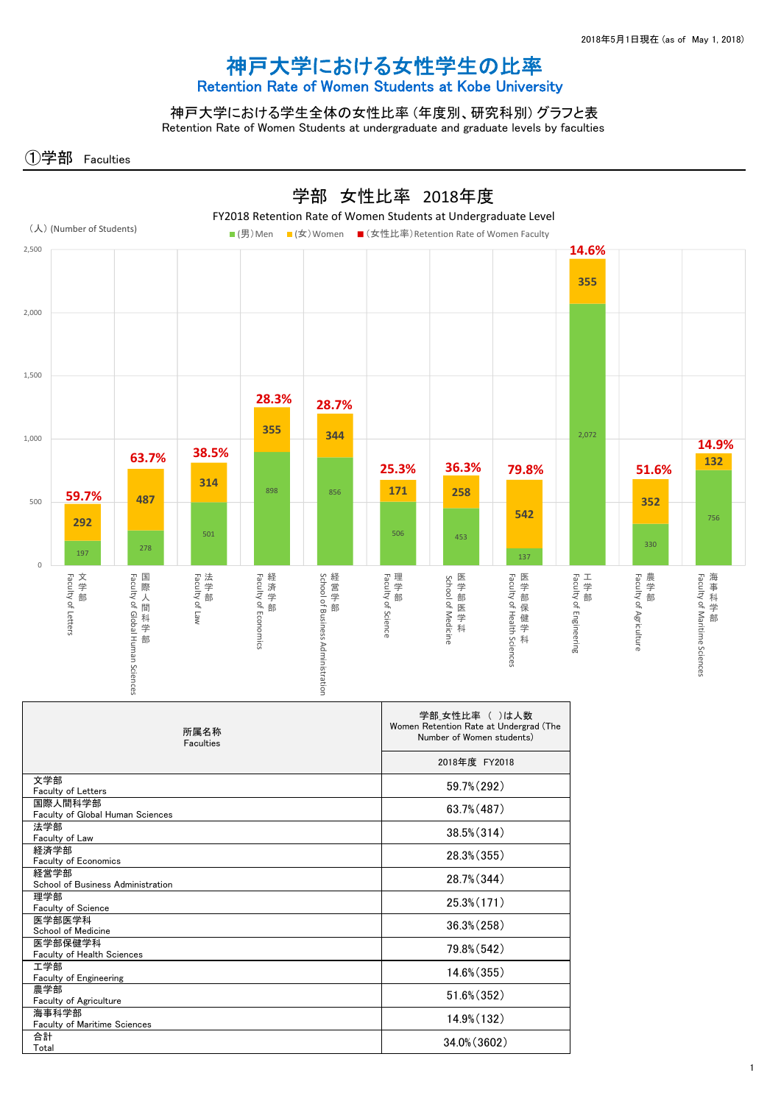## 神戸大学における女性学生の比率 Retention Rate of Women Students at Kobe University

神戸大学における学生全体の女性比率 (年度別、研究科別) グラフと表 Retention Rate of Women Students at undergraduate and graduate levels by faculties

①学部 Faculties

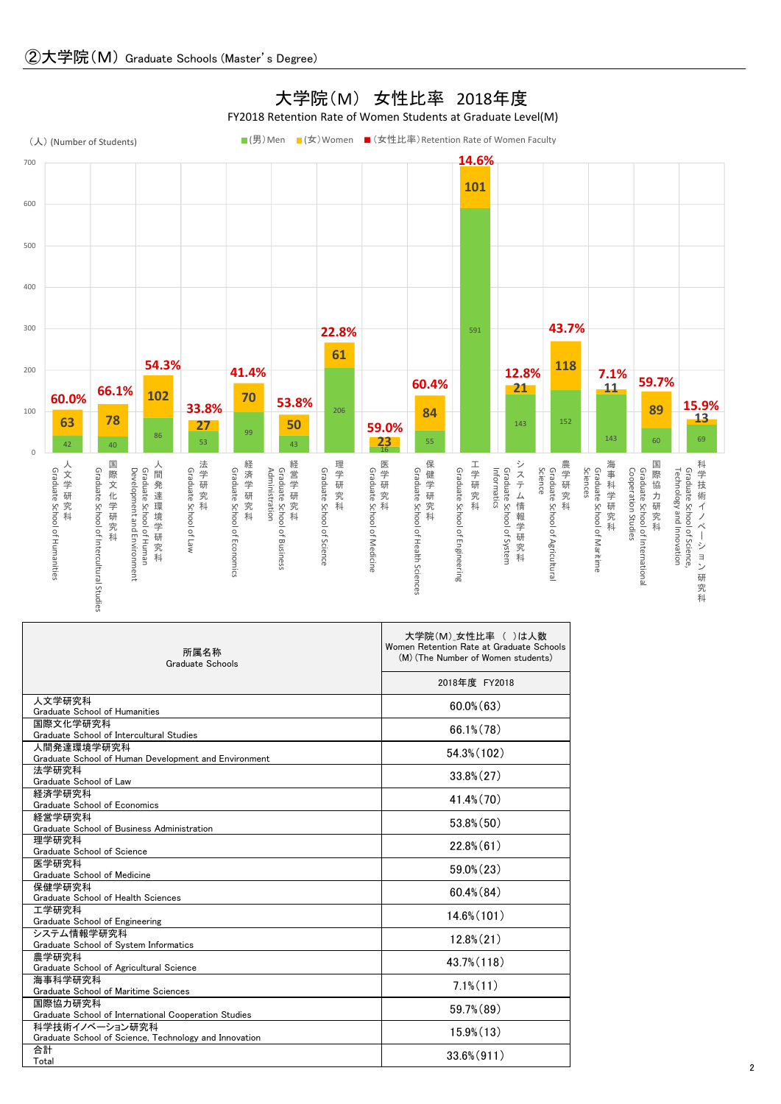

| 所属名称<br>Graduate Schools                                                | 大学院(M) 女性比率 ( )は人数<br>Women Retention Rate at Graduate Schools<br>(M) (The Number of Women students) |
|-------------------------------------------------------------------------|------------------------------------------------------------------------------------------------------|
|                                                                         | 2018年度 FY2018                                                                                        |
| 人文学研究科<br>Graduate School of Humanities                                 | $60.0\%$ $(63)$                                                                                      |
| 国際文化学研究科<br>Graduate School of Intercultural Studies                    | $66.1\%$ $(78)$                                                                                      |
| 人間発達環境学研究科<br>Graduate School of Human Development and Environment      | 54.3% (102)                                                                                          |
| 法学研究科<br>Graduate School of Law                                         | $33.8\% (27)$                                                                                        |
| 経済学研究科<br>Graduate School of Economics                                  | $41.4\%$ (70)                                                                                        |
| 経営学研究科<br>Graduate School of Business Administration                    | $53.8\%$ $(50)$                                                                                      |
| 理学研究科<br>Graduate School of Science                                     | $22.8\%$ (61)                                                                                        |
| 医学研究科<br>Graduate School of Medicine                                    | $59.0\%$ $(23)$                                                                                      |
| 保健学研究科<br>Graduate School of Health Sciences                            | $60.4\%$ $(84)$                                                                                      |
| 工学研究科<br>Graduate School of Engineering                                 | $14.6\%$ (101)                                                                                       |
| システム情報学研究科<br>Graduate School of System Informatics                     | $12.8\%$ $(21)$                                                                                      |
| 農学研究科<br>Graduate School of Agricultural Science                        | 43.7% (118)                                                                                          |
| 海事科学研究科<br>Graduate School of Maritime Sciences                         | $7.1\%$ $(11)$                                                                                       |
| 国際協力研究科<br>Graduate School of International Cooperation Studies         | $59.7\%$ $(89)$                                                                                      |
| 科学技術イノベーション研究科<br>Graduate School of Science, Technology and Innovation | $15.9\%$ $(13)$                                                                                      |
| 合計<br>Total                                                             | $33.6\% (911)$                                                                                       |

## 大学院(M) 女性比率 2018年度

FY2018 Retention Rate of Women Students at Graduate Level(M)

2